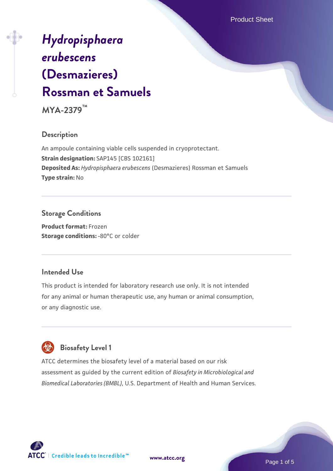Product Sheet

# *[Hydropisphaera](https://www.atcc.org/products/mya-2379) [erubescens](https://www.atcc.org/products/mya-2379)* **[\(Desmazieres\)](https://www.atcc.org/products/mya-2379) [Rossman et Samuels](https://www.atcc.org/products/mya-2379)**

**MYA-2379™**

## **Description**

An ampoule containing viable cells suspended in cryoprotectant. **Strain designation:** SAP145 [CBS 102161] **Deposited As:** *Hydropisphaera erubescens* (Desmazieres) Rossman et Samuels **Type strain:** No

## **Storage Conditions**

**Product format:** Frozen **Storage conditions: -80°C or colder** 

## **Intended Use**

This product is intended for laboratory research use only. It is not intended for any animal or human therapeutic use, any human or animal consumption, or any diagnostic use.

# **Biosafety Level 1**

ATCC determines the biosafety level of a material based on our risk assessment as guided by the current edition of *Biosafety in Microbiological and Biomedical Laboratories (BMBL)*, U.S. Department of Health and Human Services.

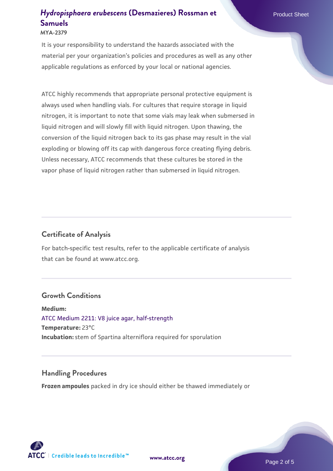#### **MYA-2379**

It is your responsibility to understand the hazards associated with the material per your organization's policies and procedures as well as any other applicable regulations as enforced by your local or national agencies.

ATCC highly recommends that appropriate personal protective equipment is always used when handling vials. For cultures that require storage in liquid nitrogen, it is important to note that some vials may leak when submersed in liquid nitrogen and will slowly fill with liquid nitrogen. Upon thawing, the conversion of the liquid nitrogen back to its gas phase may result in the vial exploding or blowing off its cap with dangerous force creating flying debris. Unless necessary, ATCC recommends that these cultures be stored in the vapor phase of liquid nitrogen rather than submersed in liquid nitrogen.

#### **Certificate of Analysis**

For batch-specific test results, refer to the applicable certificate of analysis that can be found at www.atcc.org.

#### **Growth Conditions**

**Medium:**  [ATCC Medium 2211: V8 juice agar, half-strength](https://www.atcc.org/-/media/product-assets/documents/microbial-media-formulations/2/2/1/1/atcc-medium-2211.pdf?rev=556c7dd2b94b4c8994eb3adffa660619) **Temperature:** 23°C **Incubation:** stem of Spartina alterniflora required for sporulation

#### **Handling Procedures**

**Frozen ampoules** packed in dry ice should either be thawed immediately or

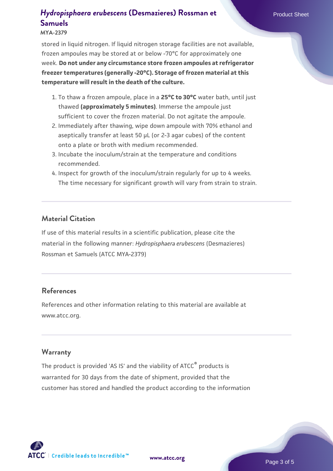**MYA-2379**

stored in liquid nitrogen. If liquid nitrogen storage facilities are not available, frozen ampoules may be stored at or below -70°C for approximately one week. **Do not under any circumstance store frozen ampoules at refrigerator freezer temperatures (generally -20°C). Storage of frozen material at this temperature will result in the death of the culture.**

- 1. To thaw a frozen ampoule, place in a **25°C to 30°C** water bath, until just thawed **(approximately 5 minutes)**. Immerse the ampoule just sufficient to cover the frozen material. Do not agitate the ampoule.
- 2. Immediately after thawing, wipe down ampoule with 70% ethanol and aseptically transfer at least 50 µL (or 2-3 agar cubes) of the content onto a plate or broth with medium recommended.
- 3. Incubate the inoculum/strain at the temperature and conditions recommended.
- 4. Inspect for growth of the inoculum/strain regularly for up to 4 weeks. The time necessary for significant growth will vary from strain to strain.

#### **Material Citation**

If use of this material results in a scientific publication, please cite the material in the following manner: *Hydropisphaera erubescens* (Desmazieres) Rossman et Samuels (ATCC MYA-2379)

#### **References**

References and other information relating to this material are available at www.atcc.org.

#### **Warranty**

The product is provided 'AS IS' and the viability of ATCC® products is warranted for 30 days from the date of shipment, provided that the customer has stored and handled the product according to the information

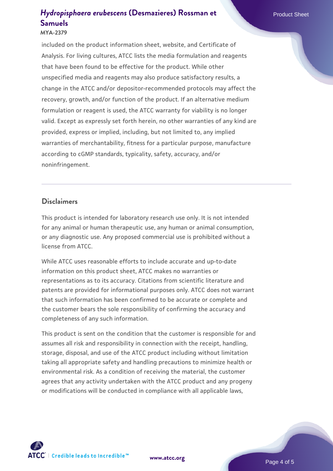#### **MYA-2379**

included on the product information sheet, website, and Certificate of Analysis. For living cultures, ATCC lists the media formulation and reagents that have been found to be effective for the product. While other unspecified media and reagents may also produce satisfactory results, a change in the ATCC and/or depositor-recommended protocols may affect the recovery, growth, and/or function of the product. If an alternative medium formulation or reagent is used, the ATCC warranty for viability is no longer valid. Except as expressly set forth herein, no other warranties of any kind are provided, express or implied, including, but not limited to, any implied warranties of merchantability, fitness for a particular purpose, manufacture according to cGMP standards, typicality, safety, accuracy, and/or noninfringement.

#### **Disclaimers**

This product is intended for laboratory research use only. It is not intended for any animal or human therapeutic use, any human or animal consumption, or any diagnostic use. Any proposed commercial use is prohibited without a license from ATCC.

While ATCC uses reasonable efforts to include accurate and up-to-date information on this product sheet, ATCC makes no warranties or representations as to its accuracy. Citations from scientific literature and patents are provided for informational purposes only. ATCC does not warrant that such information has been confirmed to be accurate or complete and the customer bears the sole responsibility of confirming the accuracy and completeness of any such information.

This product is sent on the condition that the customer is responsible for and assumes all risk and responsibility in connection with the receipt, handling, storage, disposal, and use of the ATCC product including without limitation taking all appropriate safety and handling precautions to minimize health or environmental risk. As a condition of receiving the material, the customer agrees that any activity undertaken with the ATCC product and any progeny or modifications will be conducted in compliance with all applicable laws,